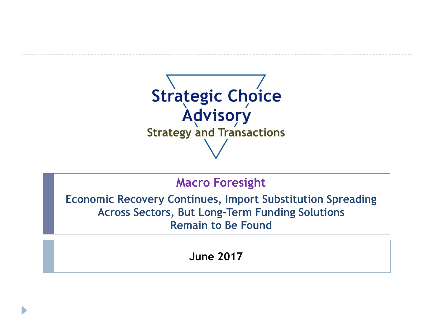

## **Macro Foresight**

**Economic Recovery Continues, Import Substitution Spreading Across Sectors, But Long-Term Funding Solutions Remain to Be Found**

**June 2017**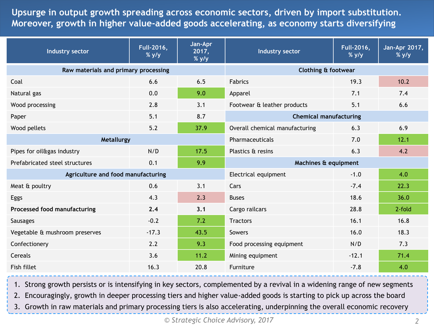**Table of contents Moreover, growth in higher value-added goods accelerating, as economy starts diversifying Upsurge in output growth spreading across economic sectors, driven by import substitution.** 

| Industry sector                    | Full-2016,<br>$%$ y/y                | Jan-Apr<br>2017,<br>$%$ y/y | <b>Industry sector</b>                | Full-2016,<br>$%$ y/y          | Jan-Apr 2017,<br>$%$ y/y |  |
|------------------------------------|--------------------------------------|-----------------------------|---------------------------------------|--------------------------------|--------------------------|--|
|                                    | Raw materials and primary processing |                             |                                       | <b>Clothing &amp; footwear</b> |                          |  |
| Coal                               | 6.6                                  | 6.5                         | <b>Fabrics</b>                        | 19.3                           | 10.2                     |  |
| Natural gas                        | 0.0                                  | 9.0                         | Apparel                               | 7.1                            | 7.4                      |  |
| Wood processing                    | 2.8                                  | 3.1                         | Footwear & leather products           | 5.1                            | 6.6                      |  |
| Paper                              | 5.1                                  | 8.7                         | <b>Chemical manufacturing</b>         |                                |                          |  |
| Wood pellets                       | 5.2                                  | 37.9                        | Overall chemical manufacturing        | 6.3                            | 6.9                      |  |
| Metallurgy                         |                                      |                             | 12.1<br>7.0<br>Pharmaceuticals        |                                |                          |  |
| Pipes for oil&gas industry         | N/D                                  | 17.5                        | Plastics & resins                     | 6.3                            | 4.2                      |  |
| Prefabricated steel structures     | 0.1                                  | 9.9                         | Machines & equipment                  |                                |                          |  |
| Agriculture and food manufacturing |                                      |                             | 4.0<br>Electrical equipment<br>$-1.0$ |                                |                          |  |
| Meat & poultry                     | 0.6                                  | 3.1                         | Cars                                  | $-7.4$                         | 22.3                     |  |
| Eggs                               | 4.3                                  | 2.3                         | <b>Buses</b>                          | 18.6                           | 36.0                     |  |
| Processed food manufacturing       | 2.4                                  | 3.1                         | Cargo railcars                        | 28.8                           | 2-fold                   |  |
| <b>Sausages</b>                    | $-0.2$                               | 7.2                         | <b>Tractors</b>                       | 16.1                           | 16.8                     |  |
| Vegetable & mushroom preserves     | $-17.3$                              | 43.5                        | Sowers                                | 16.0                           | 18.3                     |  |
| Confectionery                      | 2.2                                  | 9.3                         | Food processing equipment             | N/D                            | 7.3                      |  |
| Cereals                            | 3.6                                  | 11.2                        | Mining equipment                      | $-12.1$                        | 71.4                     |  |
| Fish fillet                        | 16.3                                 | 20.8                        | Furniture                             | $-7.8$                         | 4.0                      |  |

1. Strong growth persists or is intensifying in key sectors, complemented by a revival in a widening range of new segments

2. Encouragingly, growth in deeper processing tiers and higher value-added goods is starting to pick up across the board

3. Growth in raw materials and primary processing tiers is also accelerating, underpinning the overall economic recovery

*© Strategic Choice Advisory, 2017 2*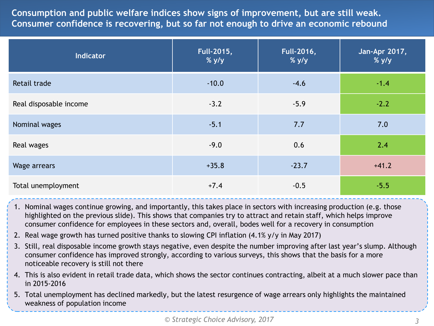**Consumption and public welfare indices show signs of improvement, but are still weak. Consumer confidence is recovering, but so far not enough to drive an economic rebound**

| <b>Indicator</b>       | Full-2015,<br>$%$ y/y | <b>Full-2016,</b><br>$%$ y/y | Jan-Apr 2017,<br>$%$ y/y |
|------------------------|-----------------------|------------------------------|--------------------------|
| Retail trade           | $-10.0$               | $-4.6$                       | $-1.4$                   |
| Real disposable income | $-3.2$                | $-5.9$                       | $-2.2$                   |
| Nominal wages          | $-5.1$                | 7.7                          | 7.0                      |
| Real wages             | $-9.0$                | 0.6                          | 2.4                      |
| Wage arrears           | $+35.8$               | $-23.7$                      | $+41.2$                  |
| Total unemployment     | $+7.4$                | $-0.5$                       | $-5.5$                   |

- 1. Nominal wages continue growing, and importantly, this takes place in sectors with increasing production (e.g. those highlighted on the previous slide). This shows that companies try to attract and retain staff, which helps improve consumer confidence for employees in these sectors and, overall, bodes well for a recovery in consumption
- 2. Real wage growth has turned positive thanks to slowing CPI inflation (4.1% y/y in May 2017)
- 3. Still, real disposable income growth stays negative, even despite the number improving after last year's slump. Although consumer confidence has improved strongly, according to various surveys, this shows that the basis for a more noticeable recovery is still not there
- 4. This is also evident in retail trade data, which shows the sector continues contracting, albeit at a much slower pace than in 2015-2016
- 5. Total unemployment has declined markedly, but the latest resurgence of wage arrears only highlights the maintained weakness of population income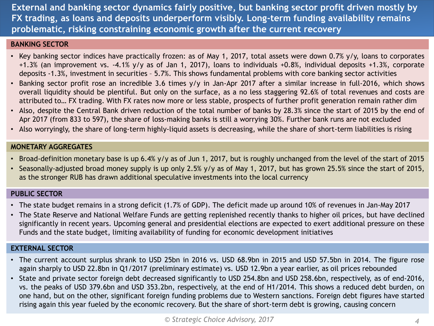**External and banking sector dynamics fairly positive, but banking sector profit driven mostly by FX trading, as loans and deposits underperform visibly. Long-term funding availability remains problematic, risking constraining economic growth after the current recovery**

#### **BANKING SECTOR**

- Key banking sector indices have practically frozen: as of May 1, 2017, total assets were down 0.7% y/y, loans to corporates +1.3% (an improvement vs. -4.1% y/y as of Jan 1, 2017), loans to individuals +0.8%, individual deposits +1.3%, corporate deposits -1.3%, investment in securities – 5.7%. This shows fundamental problems with core banking sector activities
- Banking sector profit rose an incredible 3.6 times y/y in Jan-Apr 2017 after a similar increase in full-2016, which shows overall liquidity should be plentiful. But only on the surface, as a no less staggering 92.6% of total revenues and costs are attributed to… FX trading. With FX rates now more or less stable, prospects of further profit generation remain rather dim
- Also, despite the Central Bank driven reduction of the total number of banks by 28.3% since the start of 2015 by the end of Apr 2017 (from 833 to 597), the share of loss-making banks is still a worrying 30%. Further bank runs are not excluded
- Also worryingly, the share of long-term highly-liquid assets is decreasing, while the share of short-term liabilities is rising

#### **MONETARY AGGREGATES**

- Broad-definition monetary base is up 6.4% y/y as of Jun 1, 2017, but is roughly unchanged from the level of the start of 2015
- Seasonally-adjusted broad money supply is up only 2.5% y/y as of May 1, 2017, but has grown 25.5% since the start of 2015, as the stronger RUB has drawn additional speculative investments into the local currency

#### **PUBLIC SECTOR**

- The state budget remains in a strong deficit (1.7% of GDP). The deficit made up around 10% of revenues in Jan-May 2017
- The State Reserve and National Welfare Funds are getting replenished recently thanks to higher oil prices, but have declined significantly in recent years. Upcoming general and presidential elections are expected to exert additional pressure on these Funds and the state budget, limiting availability of funding for economic development initiatives

#### **EXTERNAL SECTOR**

- The current account surplus shrank to USD 25bn in 2016 vs. USD 68.9bn in 2015 and USD 57.5bn in 2014. The figure rose again sharply to USD 22.8bn in Q1/2017 (preliminary estimate) vs. USD 12.9bn a year earlier, as oil prices rebounded
- State and private sector foreign debt decreased significantly to USD 254.8bn and USD 258.6bn, respectively, as of end-2016, vs. the peaks of USD 379.6bn and USD 353.2bn, respectively, at the end of H1/2014. This shows a reduced debt burden, on one hand, but on the other, significant foreign funding problems due to Western sanctions. Foreign debt figures have started rising again this year fueled by the economic recovery. But the share of short-term debt is growing, causing concern